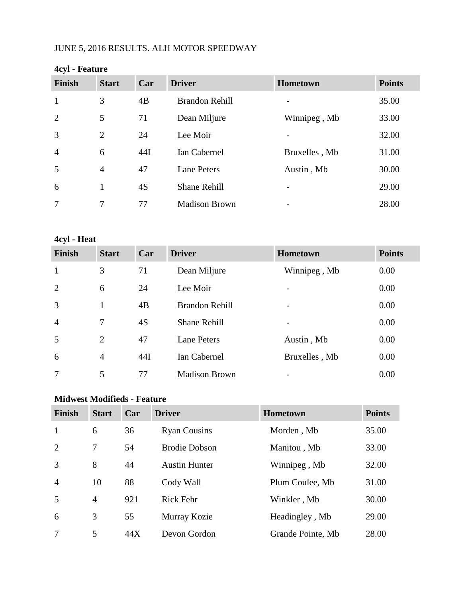## JUNE 5, 2016 RESULTS. ALH MOTOR SPEEDWAY

| <b>Start</b>   |    |                                          | <b>Hometown</b> | <b>Points</b> |
|----------------|----|------------------------------------------|-----------------|---------------|
| 3              |    | <b>Brandon Rehill</b>                    |                 | 35.00         |
| 5              |    | Dean Miljure                             | Winnipeg, Mb    | 33.00         |
| $\overline{2}$ |    | Lee Moir                                 |                 | 32.00         |
| 6              |    | Ian Cabernel                             | Bruxelles, Mb   | 31.00         |
| $\overline{4}$ |    | <b>Lane Peters</b>                       | Austin, Mb      | 30.00         |
| 1              |    | <b>Shane Rehill</b>                      |                 | 29.00         |
| 7              | 77 | <b>Madison Brown</b>                     |                 | 28.00         |
|                |    | Car<br>4B<br>71<br>24<br>44I<br>47<br>4S | <b>Driver</b>   |               |

#### **4cyl - Feature**

**4cyl - Heat**

| <b>Finish</b>  | <b>Start</b>   | Car | <b>Driver</b>         | Hometown      | <b>Points</b> |
|----------------|----------------|-----|-----------------------|---------------|---------------|
| $\mathbf{1}$   | 3              | 71  | Dean Miljure          | Winnipeg, Mb  | 0.00          |
| 2              | 6              | 24  | Lee Moir              |               | 0.00          |
| 3              | 1              | 4B  | <b>Brandon Rehill</b> |               | 0.00          |
| $\overline{4}$ | 7              | 4S  | <b>Shane Rehill</b>   |               | 0.00          |
| 5              | $\overline{2}$ | 47  | <b>Lane Peters</b>    | Austin, Mb    | 0.00          |
| 6              | $\overline{4}$ | 44I | Ian Cabernel          | Bruxelles, Mb | 0.00          |
| 7              | 5              | 77  | <b>Madison Brown</b>  |               | 0.00          |

## **Midwest Modifieds - Feature**

| <b>Finish</b>  | <b>Start</b>   | Car | <b>Driver</b>        | <b>Hometown</b>   | <b>Points</b> |
|----------------|----------------|-----|----------------------|-------------------|---------------|
| 1              | 6              | 36  | <b>Ryan Cousins</b>  | Morden, Mb        | 35.00         |
| $\overline{2}$ | 7              | 54  | <b>Brodie Dobson</b> | Manitou, Mb       | 33.00         |
| 3              | 8              | 44  | <b>Austin Hunter</b> | Winnipeg, Mb      | 32.00         |
| $\overline{4}$ | 10             | 88  | Cody Wall            | Plum Coulee, Mb   | 31.00         |
| 5              | $\overline{4}$ | 921 | <b>Rick Fehr</b>     | Winkler, Mb       | 30.00         |
| 6              | 3              | 55  | Murray Kozie         | Headingley, Mb    | 29.00         |
| 7              | 5              | 44X | Devon Gordon         | Grande Pointe, Mb | 28.00         |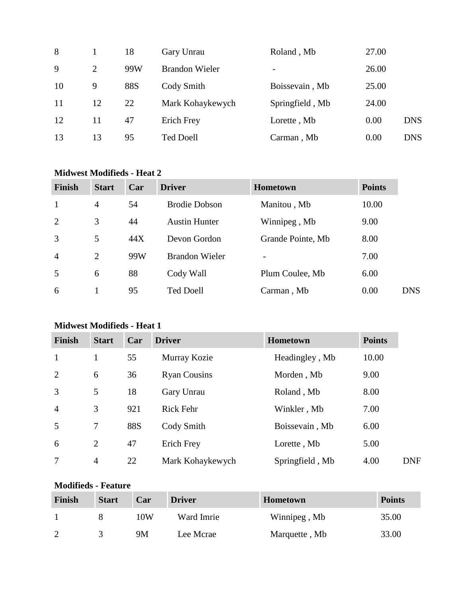| 8  |    | 18         | Gary Unrau            | Roland, Mb               | 27.00 |            |
|----|----|------------|-----------------------|--------------------------|-------|------------|
| 9  | 2  | 99W        | <b>Brandon Wieler</b> | $\overline{\phantom{a}}$ | 26.00 |            |
| 10 | 9  | <b>88S</b> | Cody Smith            | Boissevain, Mb           | 25.00 |            |
| 11 | 12 | 22         | Mark Kohaykewych      | Springfield, Mb          | 24.00 |            |
| 12 | 11 | 47         | Erich Frey            | Lorette, Mb              | 0.00  | <b>DNS</b> |
| 13 | 13 | 95         | <b>Ted Doell</b>      | Carman, Mb               | 0.00  | <b>DNS</b> |

### **Midwest Modifieds - Heat 2**

| <b>Finish</b>  | <b>Start</b>   | Car | <b>Driver</b>         | <b>Hometown</b>   | <b>Points</b> |
|----------------|----------------|-----|-----------------------|-------------------|---------------|
| $\mathbf{1}$   | $\overline{4}$ | 54  | <b>Brodie Dobson</b>  | Manitou, Mb       | 10.00         |
| 2              | 3              | 44  | <b>Austin Hunter</b>  | Winnipeg, Mb      | 9.00          |
| 3              | 5              | 44X | Devon Gordon          | Grande Pointe, Mb | 8.00          |
| $\overline{4}$ | 2              | 99W | <b>Brandon Wieler</b> | $\qquad \qquad$   | 7.00          |
| 5              | 6              | 88  | Cody Wall             | Plum Coulee, Mb   | 6.00          |
| 6              |                | 95  | <b>Ted Doell</b>      | Carman, Mb        | 0.00          |

## **Midwest Modifieds - Heat 1**

| <b>Finish</b>  | <b>Start</b>   | Car        | <b>Driver</b>       | Hometown        | <b>Points</b> |
|----------------|----------------|------------|---------------------|-----------------|---------------|
| $\mathbf{1}$   | 1              | 55         | Murray Kozie        | Headingley, Mb  | 10.00         |
| 2              | 6              | 36         | <b>Ryan Cousins</b> | Morden, Mb      | 9.00          |
| 3              | 5              | 18         | Gary Unrau          | Roland, Mb      | 8.00          |
| $\overline{4}$ | 3              | 921        | <b>Rick Fehr</b>    | Winkler, Mb     | 7.00          |
| 5              | 7              | <b>88S</b> | Cody Smith          | Boissevain, Mb  | 6.00          |
| 6              | $\overline{2}$ | 47         | Erich Frey          | Lorette, Mb     | 5.00          |
| $\overline{7}$ | $\overline{4}$ | 22         | Mark Kohaykewych    | Springfield, Mb | 4.00          |

## **Modifieds - Feature**

| <b>Finish</b> | <b>Start</b> | Car | <b>Driver</b> | <b>Hometown</b> | <b>Points</b> |
|---------------|--------------|-----|---------------|-----------------|---------------|
|               |              | 10W | Ward Imrie    | Winnipeg, Mb    | 35.00         |
| $\mathcal{D}$ |              | 9M  | Lee Mcrae     | Marquette, Mb   | 33.00         |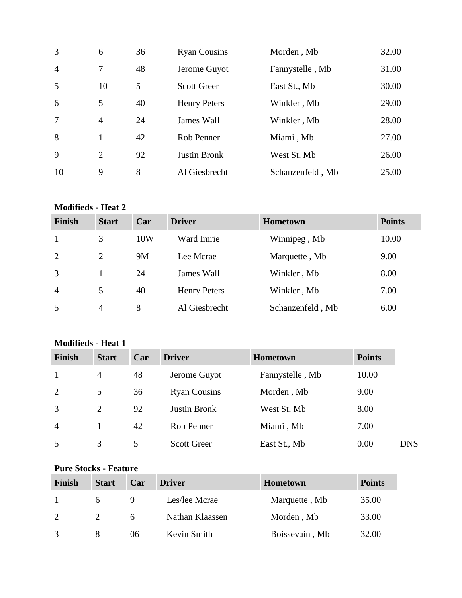| 3              | 6              | 36 | <b>Ryan Cousins</b> | Morden, Mb       | 32.00 |
|----------------|----------------|----|---------------------|------------------|-------|
| $\overline{4}$ | 7              | 48 | Jerome Guyot        | Fannystelle, Mb  | 31.00 |
| 5              | 10             | 5  | <b>Scott Greer</b>  | East St., Mb     | 30.00 |
| 6              | 5              | 40 | <b>Henry Peters</b> | Winkler, Mb      | 29.00 |
| 7              | 4              | 24 | James Wall          | Winkler, Mb      | 28.00 |
| 8              | 1              | 42 | Rob Penner          | Miami, Mb        | 27.00 |
| 9              | $\overline{2}$ | 92 | <b>Justin Bronk</b> | West St, Mb      | 26.00 |
| 10             | 9              | 8  | Al Giesbrecht       | Schanzenfeld, Mb | 25.00 |

# **Modifieds - Heat 2**

| <b>Finish</b>  | <b>Start</b> | Car | <b>Driver</b>       | <b>Hometown</b>  | <b>Points</b> |
|----------------|--------------|-----|---------------------|------------------|---------------|
| 1              | 3            | 10W | Ward Imrie          | Winnipeg, Mb     | 10.00         |
| 2              | 2            | 9M  | Lee Mcrae           | Marquette, Mb    | 9.00          |
| 3              |              | 24  | James Wall          | Winkler, Mb      | 8.00          |
| $\overline{4}$ | 5            | 40  | <b>Henry Peters</b> | Winkler, Mb      | 7.00          |
| 5              | 4            | 8   | Al Giesbrecht       | Schanzenfeld, Mb | 6.00          |

## **Modifieds - Heat 1**

| <b>Finish</b>  | <b>Start</b>   | Car | <b>Driver</b>       | <b>Hometown</b> | <b>Points</b> |            |
|----------------|----------------|-----|---------------------|-----------------|---------------|------------|
|                | $\overline{4}$ | 48  | Jerome Guyot        | Fannystelle, Mb | 10.00         |            |
| 2              | 5              | 36  | <b>Ryan Cousins</b> | Morden, Mb      | 9.00          |            |
| 3              | 2              | 92  | <b>Justin Bronk</b> | West St, Mb     | 8.00          |            |
| $\overline{4}$ |                | 42  | Rob Penner          | Miami, Mb       | 7.00          |            |
| 5              | 3              | 5   | <b>Scott Greer</b>  | East St., Mb    | 0.00          | <b>DNS</b> |

### **Pure Stocks - Feature**

| <b>Finish</b> | <b>Start</b> | Car | <b>Driver</b>   | <b>Hometown</b> | <b>Points</b> |
|---------------|--------------|-----|-----------------|-----------------|---------------|
|               |              | Q   | Les/lee Mcrae   | Marquette, Mb   | 35.00         |
| 2             |              |     | Nathan Klaassen | Morden, Mb      | 33.00         |
|               |              | 06  | Kevin Smith     | Boissevain, Mb  | 32.00         |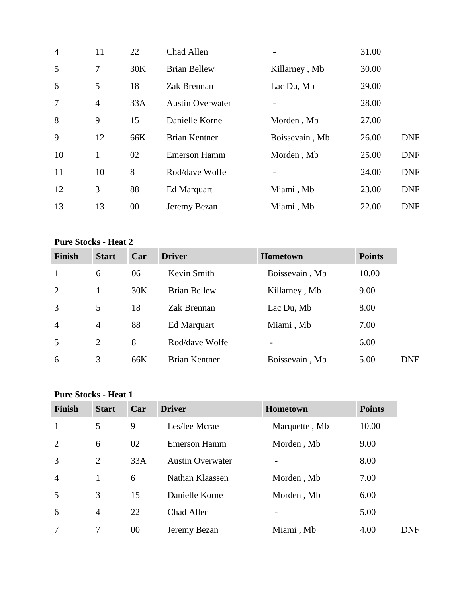| $\overline{4}$ | 11             | 22  | Chad Allen              | $\overline{\phantom{0}}$ | 31.00 |            |
|----------------|----------------|-----|-------------------------|--------------------------|-------|------------|
| 5              | 7              | 30K | <b>Brian Bellew</b>     | Killarney, Mb            | 30.00 |            |
| 6              | 5              | 18  | Zak Brennan             | Lac Du, Mb               | 29.00 |            |
| $\overline{7}$ | $\overline{4}$ | 33A | <b>Austin Overwater</b> |                          | 28.00 |            |
| 8              | 9              | 15  | Danielle Korne          | Morden, Mb               | 27.00 |            |
| 9              | 12             | 66K | <b>Brian Kentner</b>    | Boissevain, Mb           | 26.00 | <b>DNF</b> |
| 10             | $\mathbf{1}$   | 02  | <b>Emerson Hamm</b>     | Morden, Mb               | 25.00 | <b>DNF</b> |
| 11             | 10             | 8   | Rod/dave Wolfe          |                          | 24.00 | <b>DNF</b> |
| 12             | 3              | 88  | <b>Ed Marquart</b>      | Miami, Mb                | 23.00 | <b>DNF</b> |
| 13             | 13             | 00  | Jeremy Bezan            | Miami, Mb                | 22.00 | <b>DNF</b> |

### **Pure Stocks - Heat 2**

| <b>Finish</b>  | <b>Start</b>   | Car | <b>Driver</b>        | <b>Hometown</b> | <b>Points</b>      |
|----------------|----------------|-----|----------------------|-----------------|--------------------|
|                | 6              | 06  | Kevin Smith          | Boissevain, Mb  | 10.00              |
| 2              |                | 30K | <b>Brian Bellew</b>  | Killarney, Mb   | 9.00               |
| 3              | 5              | 18  | Zak Brennan          | Lac Du, Mb      | 8.00               |
| $\overline{4}$ | $\overline{4}$ | 88  | Ed Marquart          | Miami, Mb       | 7.00               |
| .5             | 2              | 8   | Rod/dave Wolfe       | $\qquad \qquad$ | 6.00               |
| 6              | 3              | 66K | <b>Brian Kentner</b> | Boissevain, Mb  | 5.00<br><b>DNF</b> |

### **Pure Stocks - Heat 1**

| <b>Finish</b>  | <b>Start</b>   | Car | <b>Driver</b>           | <b>Hometown</b> | <b>Points</b> |
|----------------|----------------|-----|-------------------------|-----------------|---------------|
| $\mathbf{1}$   | 5              | 9   | Les/lee Mcrae           | Marquette, Mb   | 10.00         |
| $\overline{2}$ | 6              | 02  | <b>Emerson Hamm</b>     | Morden, Mb      | 9.00          |
| 3              | $\overline{2}$ | 33A | <b>Austin Overwater</b> |                 | 8.00          |
| $\overline{4}$ | $\mathbf{1}$   | 6   | Nathan Klaassen         | Morden, Mb      | 7.00          |
| 5              | 3              | 15  | Danielle Korne          | Morden, Mb      | 6.00          |
| 6              | $\overline{4}$ | 22  | Chad Allen              |                 | 5.00          |
| 7              | 7              | 00  | Jeremy Bezan            | Miami, Mb       | 4.00          |